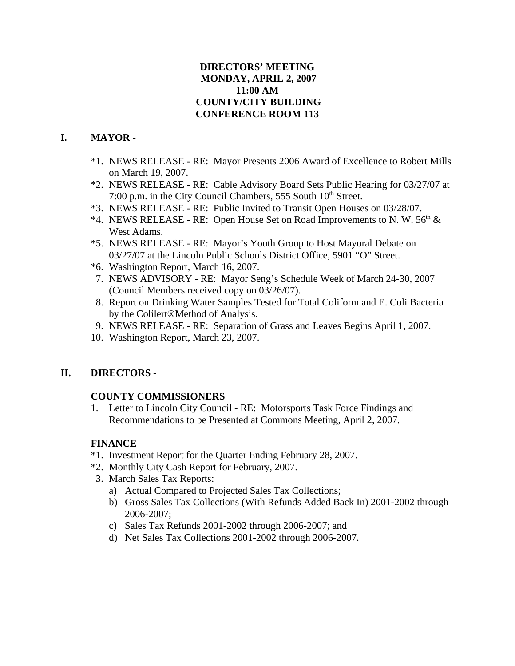# **DIRECTORS' MEETING MONDAY, APRIL 2, 2007 11:00 AM COUNTY/CITY BUILDING CONFERENCE ROOM 113**

# **I. MAYOR -**

- \*1. NEWS RELEASE RE: Mayor Presents 2006 Award of Excellence to Robert Mills on March 19, 2007.
- \*2. NEWS RELEASE RE: Cable Advisory Board Sets Public Hearing for 03/27/07 at 7:00 p.m. in the City Council Chambers, 555 South 10<sup>th</sup> Street.
- \*3. NEWS RELEASE RE: Public Invited to Transit Open Houses on 03/28/07.
- \*4. NEWS RELEASE RE: Open House Set on Road Improvements to N. W.  $56<sup>th</sup>$  & West Adams.
- \*5. NEWS RELEASE RE: Mayor's Youth Group to Host Mayoral Debate on 03/27/07 at the Lincoln Public Schools District Office, 5901 "O" Street.
- \*6. Washington Report, March 16, 2007.
- 7. NEWS ADVISORY RE: Mayor Seng's Schedule Week of March 24-30, 2007 (Council Members received copy on 03/26/07).
- 8. Report on Drinking Water Samples Tested for Total Coliform and E. Coli Bacteria by the Colilert®Method of Analysis.
- 9. NEWS RELEASE RE: Separation of Grass and Leaves Begins April 1, 2007.
- 10. Washington Report, March 23, 2007.

# **II. DIRECTORS -**

## **COUNTY COMMISSIONERS**

1. Letter to Lincoln City Council - RE: Motorsports Task Force Findings and Recommendations to be Presented at Commons Meeting, April 2, 2007.

# **FINANCE**

- \*1. Investment Report for the Quarter Ending February 28, 2007.
- \*2. Monthly City Cash Report for February, 2007.
- 3. March Sales Tax Reports:
	- a) Actual Compared to Projected Sales Tax Collections;
	- b) Gross Sales Tax Collections (With Refunds Added Back In) 2001-2002 through 2006-2007;
	- c) Sales Tax Refunds 2001-2002 through 2006-2007; and
	- d) Net Sales Tax Collections 2001-2002 through 2006-2007.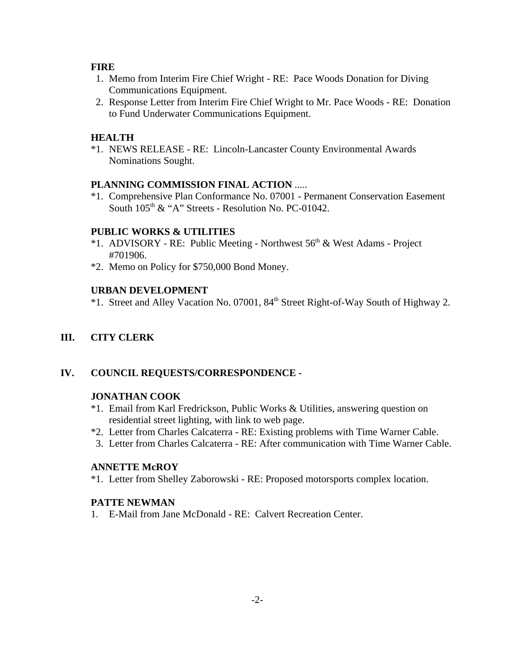## **FIRE**

- 1. Memo from Interim Fire Chief Wright RE: Pace Woods Donation for Diving Communications Equipment.
- 2. Response Letter from Interim Fire Chief Wright to Mr. Pace Woods RE: Donation to Fund Underwater Communications Equipment.

## **HEALTH**

\*1. NEWS RELEASE - RE: Lincoln-Lancaster County Environmental Awards Nominations Sought.

## **PLANNING COMMISSION FINAL ACTION** .....

\*1. Comprehensive Plan Conformance No. 07001 - Permanent Conservation Easement South  $105<sup>th</sup>$  & "A" Streets - Resolution No. PC-01042.

# **PUBLIC WORKS & UTILITIES**

- \*1. ADVISORY RE: Public Meeting Northwest 56th & West Adams Project #701906.
- \*2. Memo on Policy for \$750,000 Bond Money.

## **URBAN DEVELOPMENT**

\*1. Street and Alley Vacation No. 07001, 84th Street Right-of-Way South of Highway 2.

**III. CITY CLERK** 

# **IV. COUNCIL REQUESTS/CORRESPONDENCE -**

## **JONATHAN COOK**

- \*1. Email from Karl Fredrickson, Public Works & Utilities, answering question on residential street lighting, with link to web page.
- \*2. Letter from Charles Calcaterra RE: Existing problems with Time Warner Cable.
- 3. Letter from Charles Calcaterra RE: After communication with Time Warner Cable.

# **ANNETTE McROY**

\*1. Letter from Shelley Zaborowski - RE: Proposed motorsports complex location.

## **PATTE NEWMAN**

1. E-Mail from Jane McDonald - RE: Calvert Recreation Center.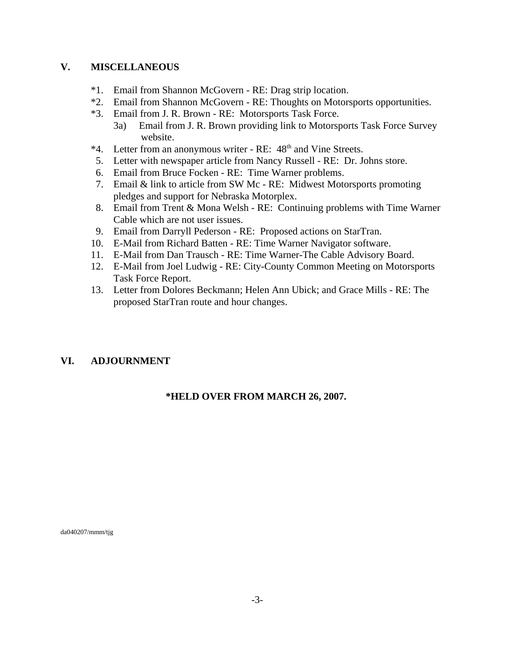## **V. MISCELLANEOUS**

- \*1. Email from Shannon McGovern RE: Drag strip location.
- \*2. Email from Shannon McGovern RE: Thoughts on Motorsports opportunities.
- \*3. Email from J. R. Brown RE: Motorsports Task Force.
	- 3a) Email from J. R. Brown providing link to Motorsports Task Force Survey website.
- \*4. Letter from an anonymous writer RE: 48<sup>th</sup> and Vine Streets.
- 5. Letter with newspaper article from Nancy Russell RE: Dr. Johns store.
- 6. Email from Bruce Focken RE: Time Warner problems.
- 7. Email & link to article from SW Mc RE: Midwest Motorsports promoting pledges and support for Nebraska Motorplex.
- 8. Email from Trent & Mona Welsh RE: Continuing problems with Time Warner Cable which are not user issues.
- 9. Email from Darryll Pederson RE: Proposed actions on StarTran.
- 10. E-Mail from Richard Batten RE: Time Warner Navigator software.
- 11. E-Mail from Dan Trausch RE: Time Warner-The Cable Advisory Board.
- 12. E-Mail from Joel Ludwig RE: City-County Common Meeting on Motorsports Task Force Report.
- 13. Letter from Dolores Beckmann; Helen Ann Ubick; and Grace Mills RE: The proposed StarTran route and hour changes.

# **VI. ADJOURNMENT**

## **\*HELD OVER FROM MARCH 26, 2007.**

da040207/mmm/tjg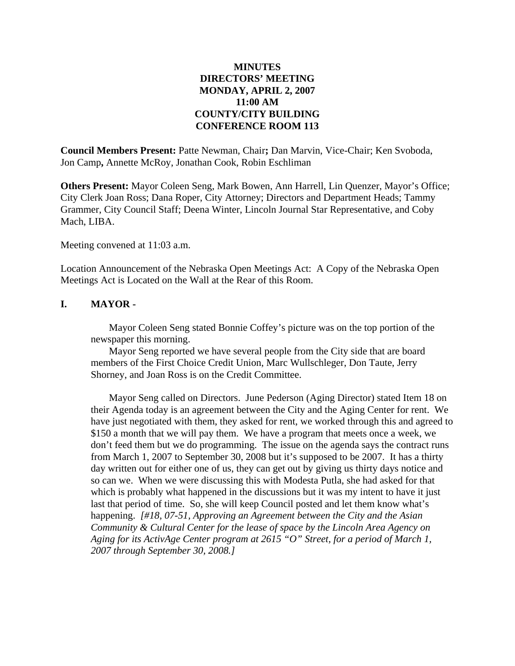## **MINUTES DIRECTORS' MEETING MONDAY, APRIL 2, 2007 11:00 AM COUNTY/CITY BUILDING CONFERENCE ROOM 113**

**Council Members Present:** Patte Newman, Chair**;** Dan Marvin, Vice-Chair; Ken Svoboda, Jon Camp**,** Annette McRoy, Jonathan Cook, Robin Eschliman

**Others Present:** Mayor Coleen Seng, Mark Bowen, Ann Harrell, Lin Quenzer, Mayor's Office; City Clerk Joan Ross; Dana Roper, City Attorney; Directors and Department Heads; Tammy Grammer, City Council Staff; Deena Winter, Lincoln Journal Star Representative, and Coby Mach, LIBA.

Meeting convened at 11:03 a.m.

Location Announcement of the Nebraska Open Meetings Act: A Copy of the Nebraska Open Meetings Act is Located on the Wall at the Rear of this Room.

#### **I. MAYOR -**

Mayor Coleen Seng stated Bonnie Coffey's picture was on the top portion of the newspaper this morning.

Mayor Seng reported we have several people from the City side that are board members of the First Choice Credit Union, Marc Wullschleger, Don Taute, Jerry Shorney, and Joan Ross is on the Credit Committee.

Mayor Seng called on Directors. June Pederson (Aging Director) stated Item 18 on their Agenda today is an agreement between the City and the Aging Center for rent. We have just negotiated with them, they asked for rent, we worked through this and agreed to \$150 a month that we will pay them. We have a program that meets once a week, we don't feed them but we do programming. The issue on the agenda says the contract runs from March 1, 2007 to September 30, 2008 but it's supposed to be 2007. It has a thirty day written out for either one of us, they can get out by giving us thirty days notice and so can we. When we were discussing this with Modesta Putla, she had asked for that which is probably what happened in the discussions but it was my intent to have it just last that period of time. So, she will keep Council posted and let them know what's happening. *[#18, 07-51, Approving an Agreement between the City and the Asian Community & Cultural Center for the lease of space by the Lincoln Area Agency on Aging for its ActivAge Center program at 2615 "O" Street, for a period of March 1, 2007 through September 30, 2008.]*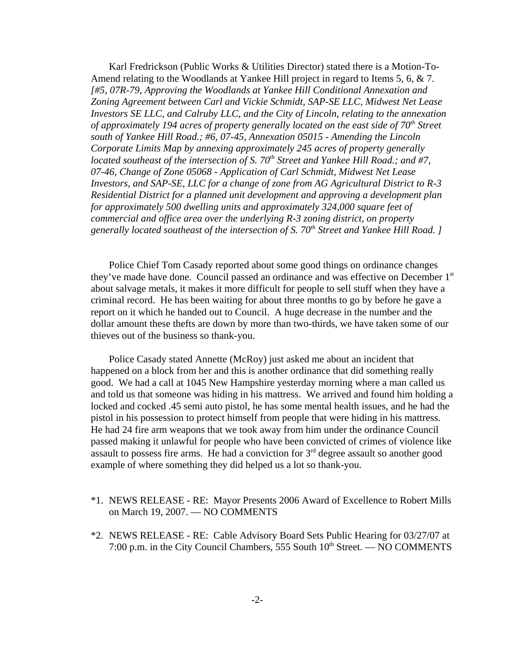Karl Fredrickson (Public Works & Utilities Director) stated there is a Motion-To-Amend relating to the Woodlands at Yankee Hill project in regard to Items 5, 6, & 7. *[#5, 07R-79, Approving the Woodlands at Yankee Hill Conditional Annexation and Zoning Agreement between Carl and Vickie Schmidt, SAP-SE LLC, Midwest Net Lease Investors SE LLC, and Calruby LLC, and the City of Lincoln, relating to the annexation of approximately 194 acres of property generally located on the east side of 70th Street south of Yankee Hill Road.; #6, 07-45, Annexation 05015 - Amending the Lincoln Corporate Limits Map by annexing approximately 245 acres of property generally located southeast of the intersection of S. 70<sup>th</sup> Street and Yankee Hill Road.; and #7, 07-46, Change of Zone 05068 - Application of Carl Schmidt, Midwest Net Lease Investors, and SAP-SE, LLC for a change of zone from AG Agricultural District to R-3 Residential District for a planned unit development and approving a development plan for approximately 500 dwelling units and approximately 324,000 square feet of commercial and office area over the underlying R-3 zoning district, on property generally located southeast of the intersection of S. 70th Street and Yankee Hill Road. ]* 

Police Chief Tom Casady reported about some good things on ordinance changes they've made have done. Council passed an ordinance and was effective on December 1<sup>st</sup> about salvage metals, it makes it more difficult for people to sell stuff when they have a criminal record. He has been waiting for about three months to go by before he gave a report on it which he handed out to Council. A huge decrease in the number and the dollar amount these thefts are down by more than two-thirds, we have taken some of our thieves out of the business so thank-you.

Police Casady stated Annette (McRoy) just asked me about an incident that happened on a block from her and this is another ordinance that did something really good. We had a call at 1045 New Hampshire yesterday morning where a man called us and told us that someone was hiding in his mattress. We arrived and found him holding a locked and cocked .45 semi auto pistol, he has some mental health issues, and he had the pistol in his possession to protect himself from people that were hiding in his mattress. He had 24 fire arm weapons that we took away from him under the ordinance Council passed making it unlawful for people who have been convicted of crimes of violence like assault to possess fire arms. He had a conviction for  $3<sup>rd</sup>$  degree assault so another good example of where something they did helped us a lot so thank-you.

- \*1. NEWS RELEASE RE: Mayor Presents 2006 Award of Excellence to Robert Mills on March 19, 2007. — NO COMMENTS
- \*2. NEWS RELEASE RE: Cable Advisory Board Sets Public Hearing for 03/27/07 at 7:00 p.m. in the City Council Chambers, 555 South  $10<sup>th</sup>$  Street. — NO COMMENTS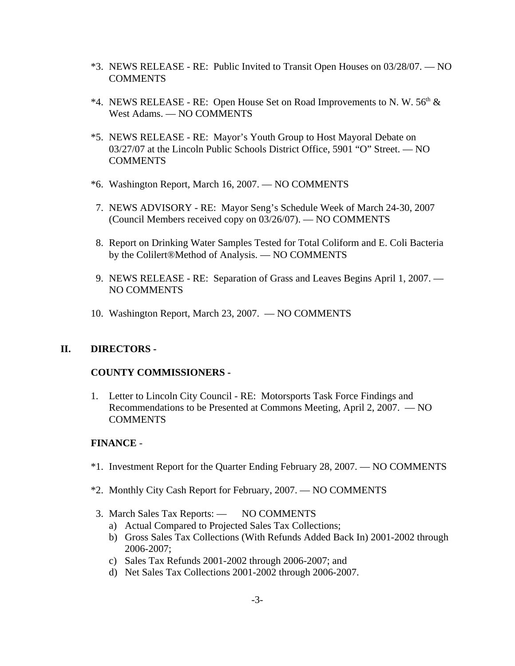- \*3. NEWS RELEASE RE: Public Invited to Transit Open Houses on 03/28/07. NO **COMMENTS**
- \*4. NEWS RELEASE RE: Open House Set on Road Improvements to N.W.  $56<sup>th</sup>$  & West Adams. — NO COMMENTS
- \*5. NEWS RELEASE RE: Mayor's Youth Group to Host Mayoral Debate on 03/27/07 at the Lincoln Public Schools District Office, 5901 "O" Street. — NO **COMMENTS**
- \*6. Washington Report, March 16, 2007. NO COMMENTS
- 7. NEWS ADVISORY RE: Mayor Seng's Schedule Week of March 24-30, 2007 (Council Members received copy on 03/26/07). — NO COMMENTS
- 8. Report on Drinking Water Samples Tested for Total Coliform and E. Coli Bacteria by the Colilert®Method of Analysis. — NO COMMENTS
- 9. NEWS RELEASE RE: Separation of Grass and Leaves Begins April 1, 2007. NO COMMENTS
- 10. Washington Report, March 23, 2007. NO COMMENTS

## **II. DIRECTORS -**

## **COUNTY COMMISSIONERS -**

1. Letter to Lincoln City Council - RE: Motorsports Task Force Findings and Recommendations to be Presented at Commons Meeting, April 2, 2007. — NO COMMENTS

## **FINANCE** -

- \*1. Investment Report for the Quarter Ending February 28, 2007. NO COMMENTS
- \*2. Monthly City Cash Report for February, 2007. NO COMMENTS
- 3. March Sales Tax Reports: NO COMMENTS
	- a) Actual Compared to Projected Sales Tax Collections;
	- b) Gross Sales Tax Collections (With Refunds Added Back In) 2001-2002 through 2006-2007;
	- c) Sales Tax Refunds 2001-2002 through 2006-2007; and
	- d) Net Sales Tax Collections 2001-2002 through 2006-2007.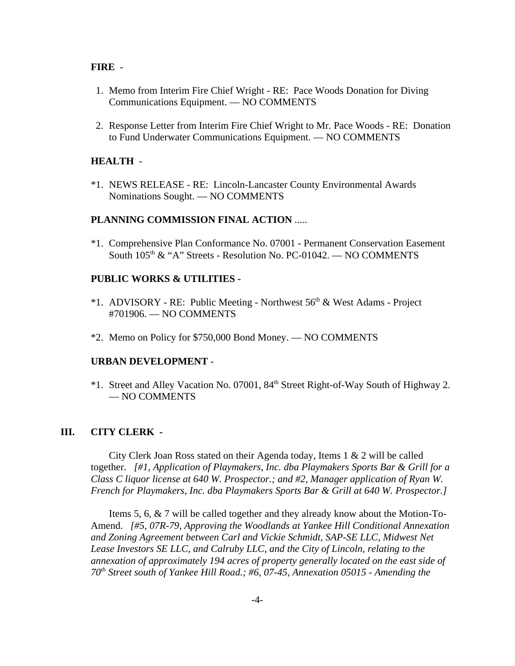#### **FIRE** -

- 1. Memo from Interim Fire Chief Wright RE: Pace Woods Donation for Diving Communications Equipment. — NO COMMENTS
- 2. Response Letter from Interim Fire Chief Wright to Mr. Pace Woods RE: Donation to Fund Underwater Communications Equipment. — NO COMMENTS

#### **HEALTH** -

\*1. NEWS RELEASE - RE: Lincoln-Lancaster County Environmental Awards Nominations Sought. — NO COMMENTS

#### **PLANNING COMMISSION FINAL ACTION** .....

\*1. Comprehensive Plan Conformance No. 07001 - Permanent Conservation Easement South 105<sup>th</sup> & "A" Streets - Resolution No. PC-01042. — NO COMMENTS

#### **PUBLIC WORKS & UTILITIES -**

- \*1. ADVISORY RE: Public Meeting Northwest  $56<sup>th</sup>$  & West Adams Project #701906. — NO COMMENTS
- \*2. Memo on Policy for \$750,000 Bond Money. NO COMMENTS

#### **URBAN DEVELOPMENT** -

\*1. Street and Alley Vacation No. 07001, 84th Street Right-of-Way South of Highway 2. — NO COMMENTS

## **III. CITY CLERK -**

City Clerk Joan Ross stated on their Agenda today, Items 1 & 2 will be called together. *[#1, Application of Playmakers, Inc. dba Playmakers Sports Bar & Grill for a Class C liquor license at 640 W. Prospector.; and #2, Manager application of Ryan W. French for Playmakers, Inc. dba Playmakers Sports Bar & Grill at 640 W. Prospector.]* 

Items 5, 6, & 7 will be called together and they already know about the Motion-To-Amend. *[#5, 07R-79, Approving the Woodlands at Yankee Hill Conditional Annexation and Zoning Agreement between Carl and Vickie Schmidt, SAP-SE LLC, Midwest Net Lease Investors SE LLC, and Calruby LLC, and the City of Lincoln, relating to the annexation of approximately 194 acres of property generally located on the east side of 70th Street south of Yankee Hill Road.; #6, 07-45, Annexation 05015 - Amending the*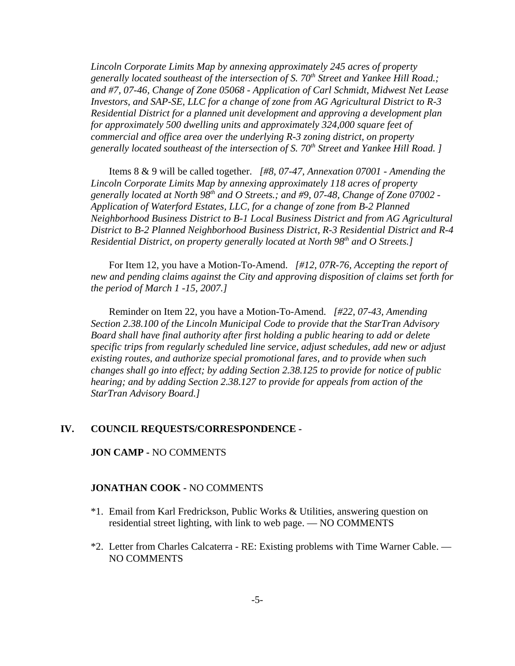*Lincoln Corporate Limits Map by annexing approximately 245 acres of property* generally located southeast of the intersection of S. 70<sup>th</sup> Street and Yankee Hill Road.; *and #7, 07-46, Change of Zone 05068 - Application of Carl Schmidt, Midwest Net Lease Investors, and SAP-SE, LLC for a change of zone from AG Agricultural District to R-3 Residential District for a planned unit development and approving a development plan for approximately 500 dwelling units and approximately 324,000 square feet of commercial and office area over the underlying R-3 zoning district, on property generally located southeast of the intersection of S. 70th Street and Yankee Hill Road. ]* 

Items 8 & 9 will be called together. *[#8, 07-47, Annexation 07001 - Amending the Lincoln Corporate Limits Map by annexing approximately 118 acres of property generally located at North 98th and O Streets.; and #9, 07-48, Change of Zone 07002 - Application of Waterford Estates, LLC, for a change of zone from B-2 Planned Neighborhood Business District to B-1 Local Business District and from AG Agricultural District to B-2 Planned Neighborhood Business District, R-3 Residential District and R-4 Residential District, on property generally located at North 98th and O Streets.]*

For Item 12, you have a Motion-To-Amend. *[#12, 07R-76, Accepting the report of new and pending claims against the City and approving disposition of claims set forth for the period of March 1 -15, 2007.]* 

Reminder on Item 22, you have a Motion-To-Amend. *[#22, 07-43, Amending Section 2.38.100 of the Lincoln Municipal Code to provide that the StarTran Advisory Board shall have final authority after first holding a public hearing to add or delete specific trips from regularly scheduled line service, adjust schedules, add new or adjust existing routes, and authorize special promotional fares, and to provide when such changes shall go into effect; by adding Section 2.38.125 to provide for notice of public hearing; and by adding Section 2.38.127 to provide for appeals from action of the StarTran Advisory Board.]* 

#### **IV. COUNCIL REQUESTS/CORRESPONDENCE -**

#### **JON CAMP -** NO COMMENTS

#### **JONATHAN COOK -** NO COMMENTS

- \*1. Email from Karl Fredrickson, Public Works & Utilities, answering question on residential street lighting, with link to web page. — NO COMMENTS
- \*2. Letter from Charles Calcaterra RE: Existing problems with Time Warner Cable. NO COMMENTS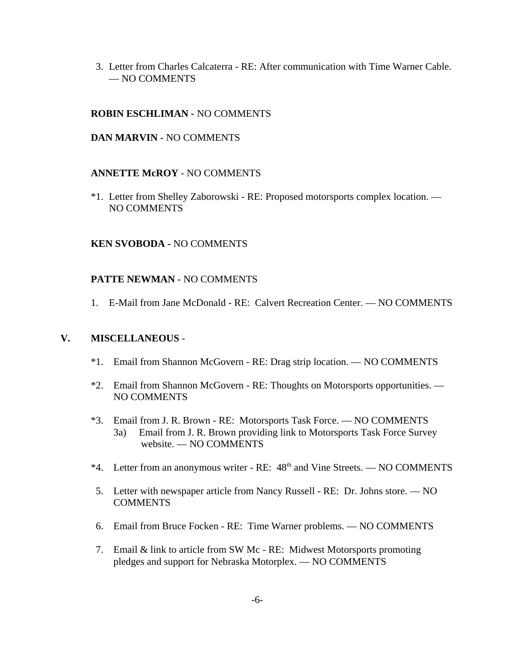3. Letter from Charles Calcaterra - RE: After communication with Time Warner Cable. — NO COMMENTS

## **ROBIN ESCHLIMAN -** NO COMMENTS

#### **DAN MARVIN -** NO COMMENTS

#### **ANNETTE McROY** - NO COMMENTS

\*1. Letter from Shelley Zaborowski - RE: Proposed motorsports complex location. — NO COMMENTS

#### **KEN SVOBODA -** NO COMMENTS

## **PATTE NEWMAN** - NO COMMENTS

1. E-Mail from Jane McDonald - RE: Calvert Recreation Center. — NO COMMENTS

#### **V. MISCELLANEOUS** -

- \*1. Email from Shannon McGovern RE: Drag strip location. NO COMMENTS
- \*2. Email from Shannon McGovern RE: Thoughts on Motorsports opportunities. NO COMMENTS
- \*3. Email from J. R. Brown RE: Motorsports Task Force. NO COMMENTS 3a) Email from J. R. Brown providing link to Motorsports Task Force Survey website. — NO COMMENTS
- \*4. Letter from an anonymous writer RE:  $48<sup>th</sup>$  and Vine Streets. NO COMMENTS
- 5. Letter with newspaper article from Nancy Russell RE: Dr. Johns store. NO **COMMENTS**
- 6. Email from Bruce Focken RE: Time Warner problems. NO COMMENTS
- 7. Email & link to article from SW Mc RE: Midwest Motorsports promoting pledges and support for Nebraska Motorplex. — NO COMMENTS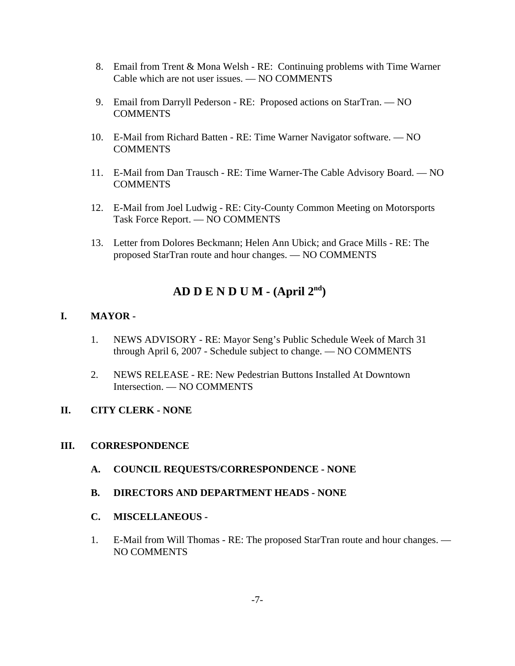- 8. Email from Trent & Mona Welsh RE: Continuing problems with Time Warner Cable which are not user issues. — NO COMMENTS
- 9. Email from Darryll Pederson RE: Proposed actions on StarTran. NO COMMENTS
- 10. E-Mail from Richard Batten RE: Time Warner Navigator software. NO **COMMENTS**
- 11. E-Mail from Dan Trausch RE: Time Warner-The Cable Advisory Board. NO COMMENTS
- 12. E-Mail from Joel Ludwig RE: City-County Common Meeting on Motorsports Task Force Report. — NO COMMENTS
- 13. Letter from Dolores Beckmann; Helen Ann Ubick; and Grace Mills RE: The proposed StarTran route and hour changes. — NO COMMENTS

# **AD D E N D U M - (April 2nd)**

## **I. MAYOR -**

- 1. NEWS ADVISORY RE: Mayor Seng's Public Schedule Week of March 31 through April 6, 2007 - Schedule subject to change. — NO COMMENTS
- 2. NEWS RELEASE RE: New Pedestrian Buttons Installed At Downtown Intersection. — NO COMMENTS

## **II. CITY CLERK - NONE**

## **III. CORRESPONDENCE**

- **A. COUNCIL REQUESTS/CORRESPONDENCE NONE**
- **B. DIRECTORS AND DEPARTMENT HEADS NONE**
- **C. MISCELLANEOUS**
- 1. E-Mail from Will Thomas RE: The proposed StarTran route and hour changes. NO COMMENTS